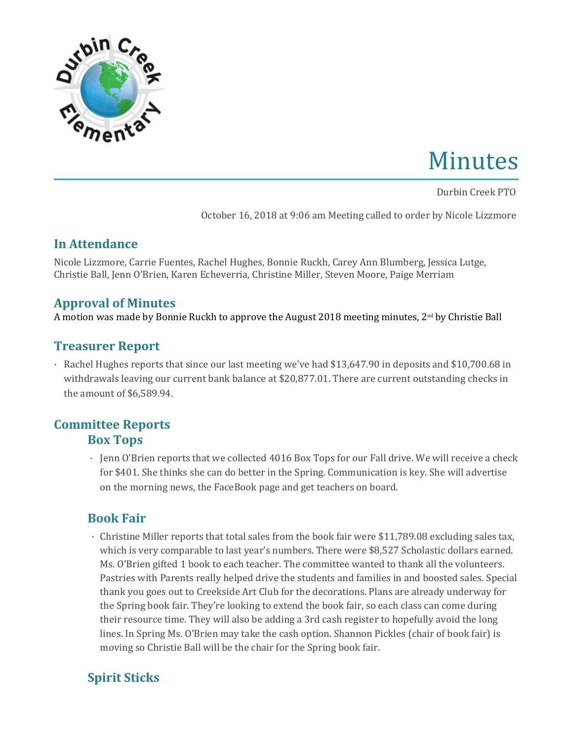

# Minutes

Durbin Creek PTO

October 16, 2018 at 9:06 am Meeting called to order by Nicole Lizzmore

#### **In Attendance**

Nicole Lizzmore, Carrie Fuentes, Rachel Hughes, Bonnie Ruckh, Carey Ann Blumberg, Jessica Lutge, Christie Ball, Jenn O'Brien, Karen Echeverria, Christine Miller, Steven Moore, Paige Merriam

#### **Approval of Minutes**

A motion was made by Bonnie Ruckh to approve the August 2018 meeting minutes, 2nd by Christie Ball

# **Treasurer Report**

· Rachel Hughes reports that since our last meeting we've had \$13,647.90 in deposits and \$10,700.68 in withdrawals leaving our current bank balance at \$20,877.01. There are current outstanding checks in the amount of \$6,589.94.

# **Committee Reports Box Tops**

· Jenn O'Brien reports that we collected 4016 Box Tops for our Fall drive. We will receive a check for \$401. She thinks she can do better in the Spring. Communication is key. She will advertise on the morning news, the FaceBook page and get teachers on board.

# **Book Fair**

· Christine Miller reports that total sales from the book fair were \$11,789.08 excluding sales tax, which is very comparable to last year's numbers. There were \$8,527 Scholastic dollars earned. Ms. O'Brien gifted 1 book to each teacher. The committee wanted to thank all the volunteers. Pastries with Parents really helped drive the students and families in and boosted sales. Special thank you goes out to Creekside Art Club for the decorations. Plans are already underway for the Spring book fair. They're looking to extend the book fair, so each class can come during their resource time. They will also be adding a 3rd cash register to hopefully avoid the long lines. In Spring Ms. O'Brien may take the cash option. Shannon Pickles (chair of book fair) is moving so Christie Ball will be the chair for the Spring book fair.

# **Spirit Sticks**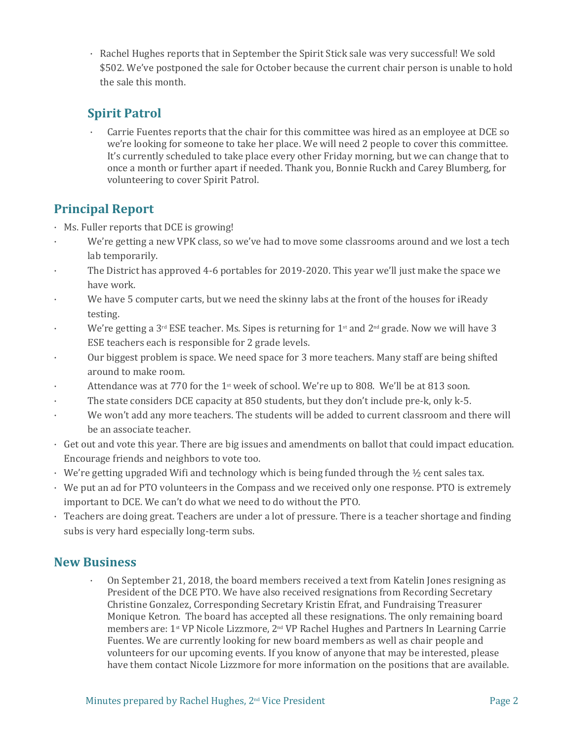· Rachel Hughes reports that in September the Spirit Stick sale was very successful! We sold \$502. We've postponed the sale for October because the current chair person is unable to hold the sale this month.

# **Spirit Patrol**

Carrie Fuentes reports that the chair for this committee was hired as an employee at DCE so we're looking for someone to take her place. We will need 2 people to cover this committee. It's currently scheduled to take place every other Friday morning, but we can change that to once a month or further apart if needed. Thank you, Bonnie Ruckh and Carey Blumberg, for volunteering to cover Spirit Patrol.

# **Principal Report**

- 
- Ms. Fuller reports that DCE is growing!<br>• We're getting a new VPK class, so we've had to move some classrooms around and we lost a tech
- lab temporarily.<br>The District has approved 4-6 portables for 2019-2020. This year we'll just make the space we
- have work.<br>We have 5 computer carts, but we need the skinny labs at the front of the houses for iReady
- testing.<br>We're getting a 3<sup>rd</sup> ESE teacher. Ms. Sipes is returning for 1<sup>st</sup> and 2<sup>nd</sup> grade. Now we will have 3
- ESE teachers each is responsible for 2 grade levels.<br>• Our biggest problem is space. We need space for 3 more teachers. Many staff are being shifted
- 
- around to make room.<br>Attendance was at 770 for the 1<sup>st</sup> week of school. We're up to 808. We'll be at 813 soon.<br>The state considers DCE capacity at 850 students, but they don't include pre-k, only k-5.<br>We won't add any mor
- 
- be an associate teacher.<br>• Get out and vote this year. There are big issues and amendments on ballot that could impact education. Encourage friends and neighbors to vote too.
- 
- We're getting upgraded Wifi and technology which is being funded through the ½ cent sales tax.<br>• We put an ad for PTO volunteers in the Compass and we received only one response. PTO is extremely important to DCE. We can't do what we need to do without the PTO.<br> $\cdot$  Teachers are doing great. Teachers are under a lot of pressure. There is a teacher shortage and finding
- subs is very hard especially long-term subs.

# **New Business**

· On September 21, 2018, the board members received a text from Katelin Jones resigning as President of the DCE PTO. We have also received resignations from Recording Secretary Christine Gonzalez, Corresponding Secretary Kristin Efrat, and Fundraising Treasurer Monique Ketron. The board has accepted all these resignations. The only remaining board members are: 1st VP Nicole Lizzmore, 2nd VP Rachel Hughes and Partners In Learning Carrie Fuentes. We are currently looking for new board members as well as chair people and volunteers for our upcoming events. If you know of anyone that may be interested, please have them contact Nicole Lizzmore for more information on the positions that are available.